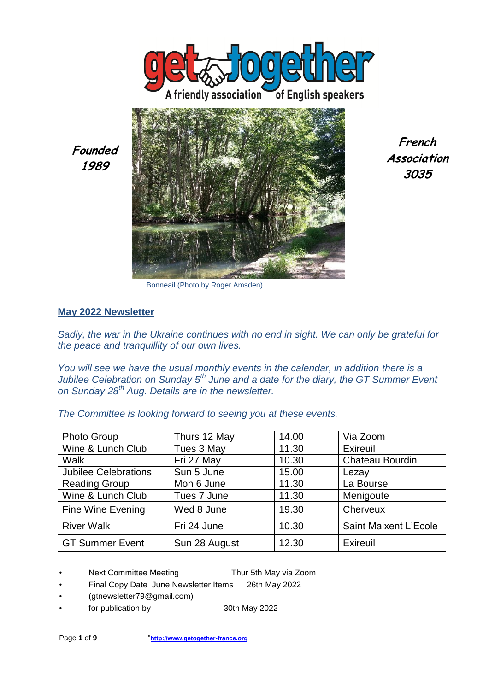



**French Association 3035**

Bonneail (Photo by Roger Amsden)

#### **May 2022 Newsletter**

**Founded 1989**

*Sadly, the war in the Ukraine continues with no end in sight. We can only be grateful for the peace and tranquillity of our own lives.* 

*You will see we have the usual monthly events in the calendar, in addition there is a Jubilee Celebration on Sunday 5th June and a date for the diary, the GT Summer Event on Sunday 28th Aug. Details are in the newsletter.* 

*The Committee is looking forward to seeing you at these events.* 

| <b>Photo Group</b>          | Thurs 12 May  | 14.00 | Via Zoom               |
|-----------------------------|---------------|-------|------------------------|
| Wine & Lunch Club           | Tues 3 May    | 11.30 | Exireuil               |
| Walk                        | Fri 27 May    | 10.30 | <b>Chateau Bourdin</b> |
| <b>Jubilee Celebrations</b> | Sun 5 June    | 15.00 | Lezay                  |
| <b>Reading Group</b>        | Mon 6 June    | 11.30 | La Bourse              |
| Wine & Lunch Club           | Tues 7 June   | 11.30 | Menigoute              |
| Fine Wine Evening           | Wed 8 June    | 19.30 | Cherveux               |
| <b>River Walk</b>           | Fri 24 June   | 10.30 | Saint Maixent L'Ecole  |
| <b>GT Summer Event</b>      | Sun 28 August | 12.30 | Exireuil               |

- Next Committee Meeting Thur 5th May via Zoom
- Final Copy Date June Newsletter Items 26th May 2022
- (gtnewsletter79@gmail.com)
- for publication by 30th May 2022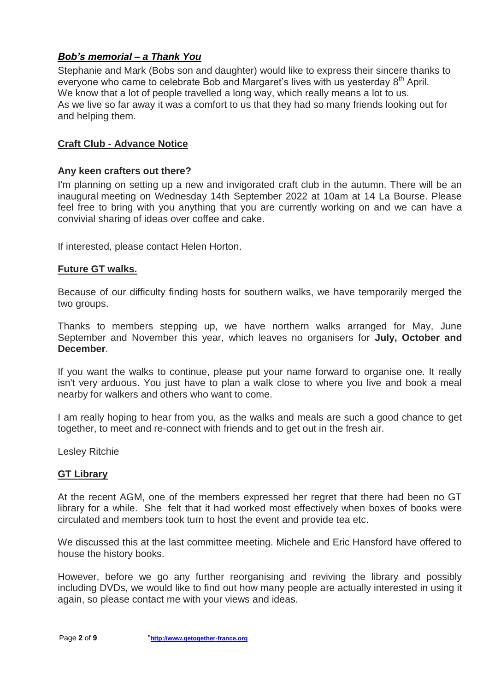# *Bob's memorial – a Thank You*

Stephanie and Mark (Bobs son and daughter) would like to express their sincere thanks to everyone who came to celebrate Bob and Margaret's lives with us yesterday 8<sup>th</sup> April. We know that a lot of people travelled a long way, which really means a lot to us. As we live so far away it was a comfort to us that they had so many friends looking out for and helping them.

### **Craft Club - Advance Notice**

#### **Any keen crafters out there?**

I'm planning on setting up a new and invigorated craft club in the autumn. There will be an inaugural meeting on Wednesday 14th September 2022 at 10am at 14 La Bourse. Please feel free to bring with you anything that you are currently working on and we can have a convivial sharing of ideas over coffee and cake.

If interested, please contact Helen Horton.

#### **Future GT walks.**

Because of our difficulty finding hosts for southern walks, we have temporarily merged the two groups.

Thanks to members stepping up, we have northern walks arranged for May, June September and November this year, which leaves no organisers for **July, October and December**.

If you want the walks to continue, please put your name forward to organise one. It really isn't very arduous. You just have to plan a walk close to where you live and book a meal nearby for walkers and others who want to come.

I am really hoping to hear from you, as the walks and meals are such a good chance to get together, to meet and re-connect with friends and to get out in the fresh air.

Lesley Ritchie

#### **GT Library**

At the recent AGM, one of the members expressed her regret that there had been no GT library for a while. She felt that it had worked most effectively when boxes of books were circulated and members took turn to host the event and provide tea etc.

We discussed this at the last committee meeting. Michele and Eric Hansford have offered to house the history books.

However, before we go any further reorganising and reviving the library and possibly including DVDs, we would like to find out how many people are actually interested in using it again, so please contact me with your views and ideas.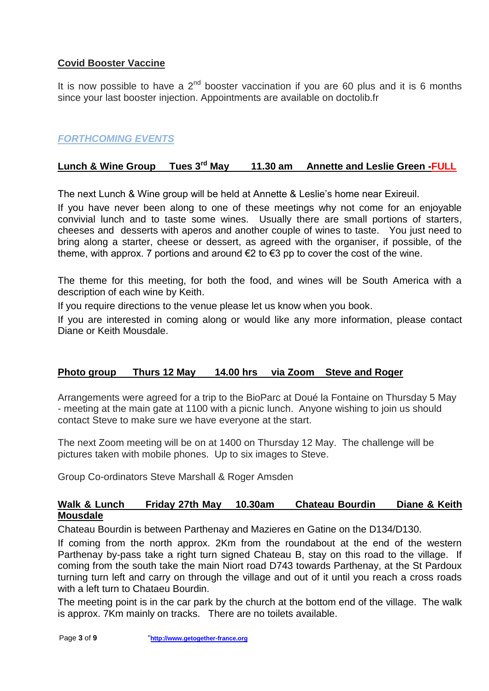# **Covid Booster Vaccine**

It is now possible to have a  $2<sup>nd</sup>$  booster vaccination if you are 60 plus and it is 6 months since your last booster injection. Appointments are available on doctolib.fr

# *FORTHCOMING EVENTS*

# **Lunch & Wine Group Tues 3rd May 11.30 am Annette and Leslie Green -FULL**

The next Lunch & Wine group will be held at Annette & Leslie's home near Exireuil.

If you have never been along to one of these meetings why not come for an enjoyable convivial lunch and to taste some wines. Usually there are small portions of starters, cheeses and desserts with aperos and another couple of wines to taste. You just need to bring along a starter, cheese or dessert, as agreed with the organiser, if possible, of the theme, with approx. 7 portions and around  $\epsilon$ 2 to  $\epsilon$ 3 pp to cover the cost of the wine.

The theme for this meeting, for both the food, and wines will be South America with a description of each wine by Keith.

If you require directions to the venue please let us know when you book.

If you are interested in coming along or would like any more information, please contact Diane or Keith Mousdale.

### **Photo group Thurs 12 May 14.00 hrs via Zoom Steve and Roger**

Arrangements were agreed for a trip to the BioParc at Doué la Fontaine on Thursday 5 May - meeting at the main gate at 1100 with a picnic lunch. Anyone wishing to join us should contact Steve to make sure we have everyone at the start.

The next Zoom meeting will be on at 1400 on Thursday 12 May. The challenge will be pictures taken with mobile phones. Up to six images to Steve.

Group Co-ordinators Steve Marshall & Roger Amsden

### **Walk & Lunch Friday 27th May 10.30am Chateau Bourdin Diane & Keith Mousdale**

Chateau Bourdin is between Parthenay and Mazieres en Gatine on the D134/D130.

If coming from the north approx. 2Km from the roundabout at the end of the western Parthenay by-pass take a right turn signed Chateau B, stay on this road to the village. If coming from the south take the main Niort road D743 towards Parthenay, at the St Pardoux turning turn left and carry on through the village and out of it until you reach a cross roads with a left turn to Chataeu Bourdin.

The meeting point is in the car park by the church at the bottom end of the village. The walk is approx. 7Km mainly on tracks. There are no toilets available.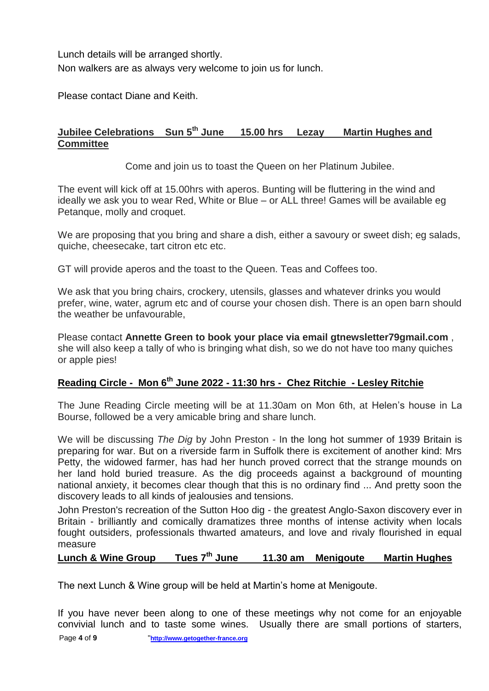Lunch details will be arranged shortly. Non walkers are as always very welcome to join us for lunch.

Please contact Diane and Keith.

## **Jubilee Celebrations Sun 5th June 15.00 hrs Lezay Martin Hughes and Committee**

Come and join us to toast the Queen on her Platinum Jubilee.

The event will kick off at 15.00hrs with aperos. Bunting will be fluttering in the wind and ideally we ask you to wear Red, White or Blue – or ALL three! Games will be available eg Petanque, molly and croquet.

We are proposing that you bring and share a dish, either a savoury or sweet dish; eg salads, quiche, cheesecake, tart citron etc etc.

GT will provide aperos and the toast to the Queen. Teas and Coffees too.

We ask that you bring chairs, crockery, utensils, glasses and whatever drinks you would prefer, wine, water, agrum etc and of course your chosen dish. There is an open barn should the weather be unfavourable,

Please contact **Annette Green to book your place via email gtnewsletter79gmail.com** , she will also keep a tally of who is bringing what dish, so we do not have too many quiches or apple pies!

# **Reading Circle - Mon 6th June 2022 - 11:30 hrs - Chez Ritchie - Lesley Ritchie**

The June Reading Circle meeting will be at 11.30am on Mon 6th, at Helen's house in La Bourse, followed be a very amicable bring and share lunch.

We will be discussing *The Dig* by John Preston - In the long hot summer of 1939 Britain is preparing for war. But on a riverside farm in Suffolk there is excitement of another kind: Mrs Petty, the widowed farmer, has had her hunch proved correct that the strange mounds on her land hold buried treasure. As the dig proceeds against a background of mounting national anxiety, it becomes clear though that this is no ordinary find ... And pretty soon the discovery leads to all kinds of jealousies and tensions.

John Preston's recreation of the Sutton Hoo dig - the greatest Anglo-Saxon discovery ever in Britain - brilliantly and comically dramatizes three months of intense activity when locals fought outsiders, professionals thwarted amateurs, and love and rivaly flourished in equal measure

# **Lunch & Wine Group Tues 7th June 11.30 am Menigoute Martin Hughes**

The next Lunch & Wine group will be held at Martin's home at Menigoute.

If you have never been along to one of these meetings why not come for an enjoyable convivial lunch and to taste some wines. Usually there are small portions of starters,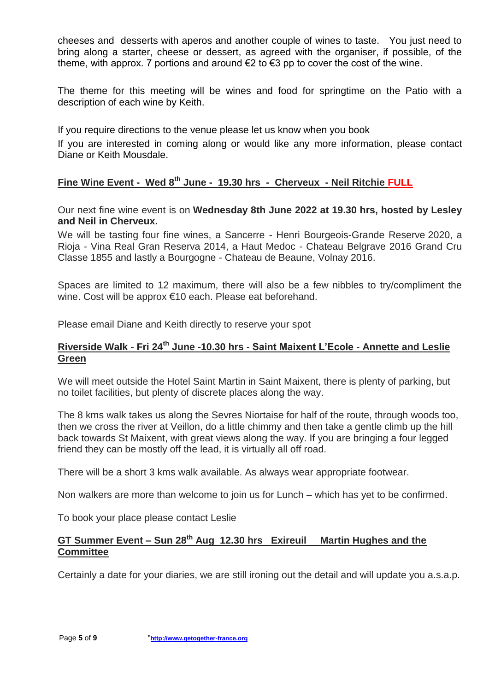cheeses and desserts with aperos and another couple of wines to taste. You just need to bring along a starter, cheese or dessert, as agreed with the organiser, if possible, of the theme, with approx. 7 portions and around  $\epsilon$ 2 to  $\epsilon$ 3 pp to cover the cost of the wine.

The theme for this meeting will be wines and food for springtime on the Patio with a description of each wine by Keith.

If you require directions to the venue please let us know when you book

If you are interested in coming along or would like any more information, please contact Diane or Keith Mousdale.

### **Fine Wine Event - Wed 8th June - 19.30 hrs - Cherveux - Neil Ritchie FULL**

Our next fine wine event is on **Wednesday 8th June 2022 at 19.30 hrs, hosted by Lesley and Neil in Cherveux.**

We will be tasting four fine wines, a Sancerre - Henri Bourgeois-Grande Reserve 2020, a Rioja - Vina Real Gran Reserva 2014, a Haut Medoc - Chateau Belgrave 2016 Grand Cru Classe 1855 and lastly a Bourgogne - Chateau de Beaune, Volnay 2016.

Spaces are limited to 12 maximum, there will also be a few nibbles to try/compliment the wine. Cost will be approx €10 each. Please eat beforehand.

Please email Diane and Keith directly to reserve your spot

### **Riverside Walk - Fri 24th June -10.30 hrs - Saint Maixent L'Ecole - Annette and Leslie Green**

We will meet outside the Hotel Saint Martin in Saint Maixent, there is plenty of parking, but no toilet facilities, but plenty of discrete places along the way.

The 8 kms walk takes us along the Sevres Niortaise for half of the route, through woods too, then we cross the river at Veillon, do a little chimmy and then take a gentle climb up the hill back towards St Maixent, with great views along the way. If you are bringing a four legged friend they can be mostly off the lead, it is virtually all off road.

There will be a short 3 kms walk available. As always wear appropriate footwear.

Non walkers are more than welcome to join us for Lunch – which has yet to be confirmed.

To book your place please contact Leslie

### **GT Summer Event – Sun 28th Aug 12.30 hrs Exireuil Martin Hughes and the Committee**

Certainly a date for your diaries, we are still ironing out the detail and will update you a.s.a.p.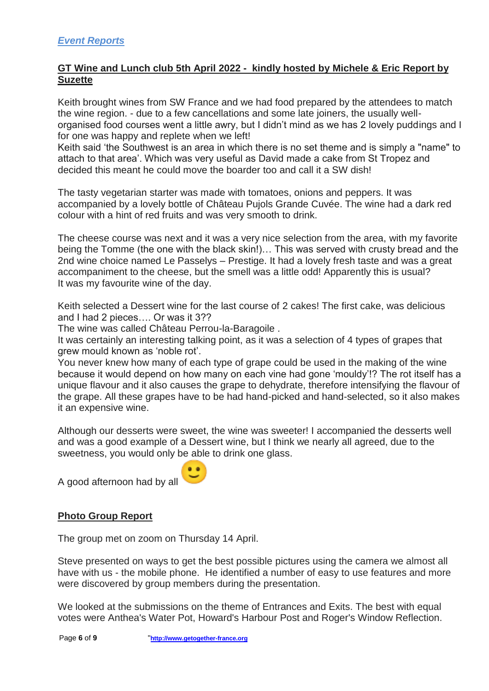### **GT Wine and Lunch club 5th April 2022 - kindly hosted by Michele & Eric Report by Suzette**

Keith brought wines from SW France and we had food prepared by the attendees to match the wine region. - due to a few cancellations and some late joiners, the usually wellorganised food courses went a little awry, but I didn't mind as we has 2 lovely puddings and I for one was happy and replete when we left!

Keith said 'the Southwest is an area in which there is no set theme and is simply a "name" to attach to that area'. Which was very useful as David made a cake from St Tropez and decided this meant he could move the boarder too and call it a SW dish!

The tasty vegetarian starter was made with tomatoes, onions and peppers. It was accompanied by a lovely bottle of Château Pujols Grande Cuvée. The wine had a dark red colour with a hint of red fruits and was very smooth to drink.

The cheese course was next and it was a very nice selection from the area, with my favorite being the Tomme (the one with the black skin!)… This was served with crusty bread and the 2nd wine choice named Le Passelys – Prestige. It had a lovely fresh taste and was a great accompaniment to the cheese, but the smell was a little odd! Apparently this is usual? It was my favourite wine of the day.

Keith selected a Dessert wine for the last course of 2 cakes! The first cake, was delicious and I had 2 pieces…. Or was it 3??

The wine was called Château Perrou-la-Baragoile .

It was certainly an interesting talking point, as it was a selection of 4 types of grapes that grew mould known as 'noble rot'.

You never knew how many of each type of grape could be used in the making of the wine because it would depend on how many on each vine had gone 'mouldy'!? The rot itself has a unique flavour and it also causes the grape to dehydrate, therefore intensifying the flavour of the grape. All these grapes have to be had hand-picked and hand-selected, so it also makes it an expensive wine.

Although our desserts were sweet, the wine was sweeter! I accompanied the desserts well and was a good example of a Dessert wine, but I think we nearly all agreed, due to the sweetness, you would only be able to drink one glass.

A good afternoon had by all



# **Photo Group Report**

The group met on zoom on Thursday 14 April.

Steve presented on ways to get the best possible pictures using the camera we almost all have with us - the mobile phone. He identified a number of easy to use features and more were discovered by group members during the presentation.

We looked at the submissions on the theme of Entrances and Exits. The best with equal votes were Anthea's Water Pot, Howard's Harbour Post and Roger's Window Reflection.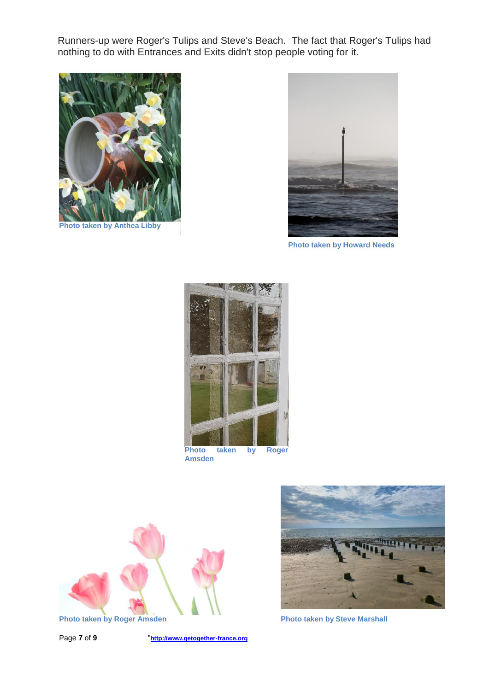Runners-up were Roger's Tulips and Steve's Beach. The fact that Roger's Tulips had nothing to do with Entrances and Exits didn't stop people voting for it.



**Photo taken by Anthea Libby**



**Photo taken by Howard Needs**



**Amsden**



Page **7** of **9** "**http://www.getogether-france.org**